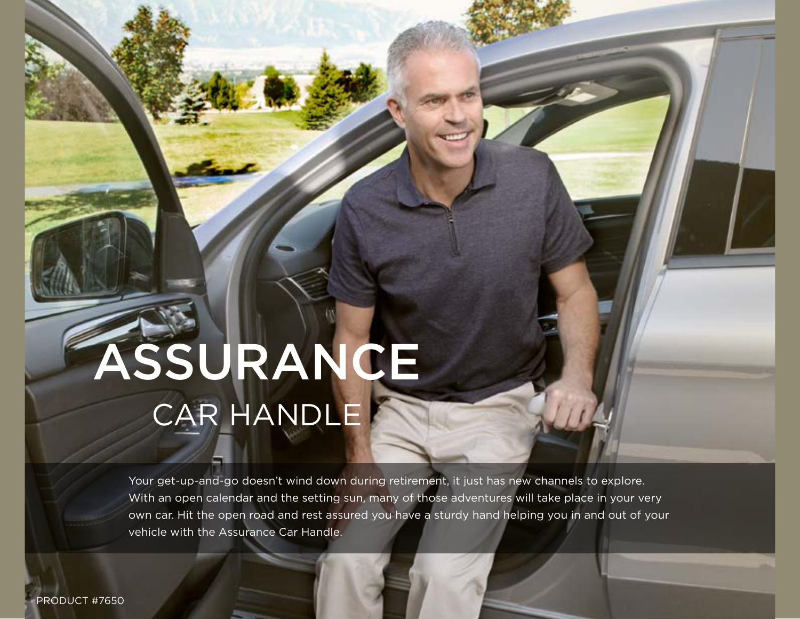# ASSURANCE CAR HANDLE

Your get-up-and-go doesn't wind down during retirement, it just has new channels to explore. With an open calendar and the setting sun, many of those adventures will take place in your very own car. Hit the open road and rest assured you have a sturdy hand helping you in and out of your vehicle with the Assurance Car Handle.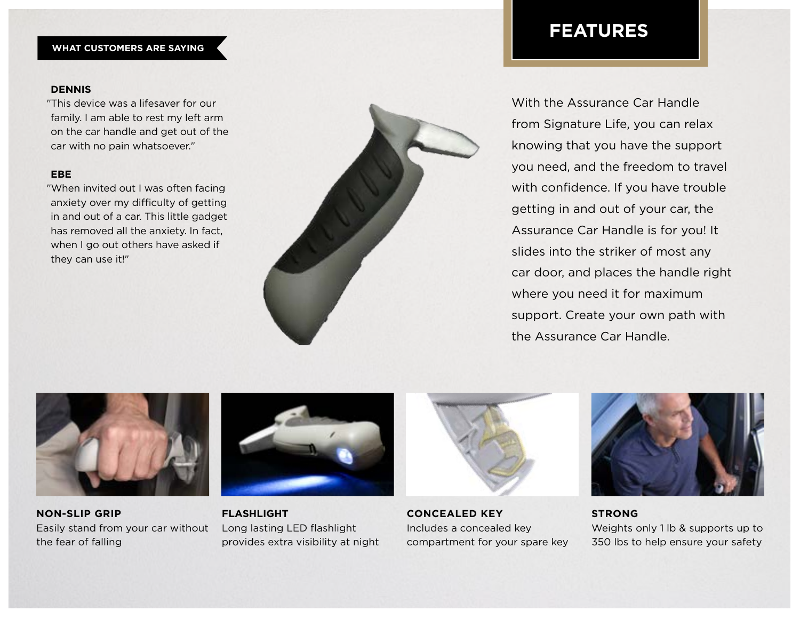### **WHAT CUSTOMERS ARE SAYING**

#### **DENNIS**

"This device was a lifesaver for our family. I am able to rest my left arm on the car handle and get out of the car with no pain whatsoever."

#### **EBE**

"When invited out I was often facing anxiety over my difficulty of getting in and out of a car. This little gadget has removed all the anxiety. In fact, when I go out others have asked if they can use it!"



## **FEATURES**

With the Assurance Car Handle from Signature Life, you can relax knowing that you have the support you need, and the freedom to travel with confidence. If you have trouble getting in and out of your car, the Assurance Car Handle is for you! It slides into the striker of most any car door, and places the handle right where you need it for maximum support. Create your own path with the Assurance Car Handle.



**NON-SLIP GRIP** Easily stand from your car without the fear of falling



**FLASHLIGHT** Long lasting LED flashlight provides extra visibility at night



**CONCEALED KEY** Includes a concealed key compartment for your spare key



**STRONG** Weights only 1 lb & supports up to 350 lbs to help ensure your safety